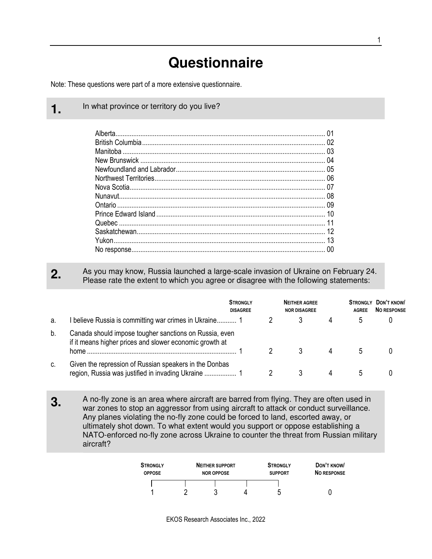## **Questionnaire**

Note: These questions were part of a more extensive questionnaire.

**1.** In what province or territory do you live?

Alberta...................................................................................................................... 01 British Columbia....................................................................................................... 02 Manitoba .................................................................................................................. 03 New Brunswick ........................................................................................................ 04 Newfoundland and Labrador.................................................................................... 05 Northwest Territories................................................................................................ 06 Nova Scotia.............................................................................................................. 07 Nunavut.................................................................................................................... 08 Ontario ..................................................................................................................... 09 Prince Edward Island ............................................................................................... 10 Quebec .................................................................................................................... 11 Saskatchewan.......................................................................................................... 12 Yukon....................................................................................................................... 13 No response............................................................................................................. 00

## **2.** As you may know, Russia launched a large-scale invasion of Ukraine on February 24. Please rate the extent to which you agree or disagree with the following statements:

|    |                                                                                                                            | <b>STRONGLY</b><br><b>DISAGREE</b> | <b>NEITHER AGREE</b><br><b>NOR DISAGREE</b> | <b>STRONGLY</b><br><b>AGREE</b> | DON'T KNOW<br><b>NO RESPONSE</b> |
|----|----------------------------------------------------------------------------------------------------------------------------|------------------------------------|---------------------------------------------|---------------------------------|----------------------------------|
| а. | I believe Russia is committing war crimes in Ukraine 1                                                                     |                                    |                                             |                                 |                                  |
| b. | Canada should impose tougher sanctions on Russia, even<br>if it means higher prices and slower economic growth at<br>home. |                                    |                                             |                                 |                                  |
| c. | Given the repression of Russian speakers in the Donbas                                                                     |                                    |                                             |                                 |                                  |

**3.** A no-fly zone is an area where aircraft are barred from flying. They are often used in war zones to stop an aggressor from using aircraft to attack or conduct surveillance. Any planes violating the no-fly zone could be forced to land, escorted away, or ultimately shot down. To what extent would you support or oppose establishing a NATO-enforced no-fly zone across Ukraine to counter the threat from Russian military aircraft?

| <b>STRONGLY</b><br><b>OPPOSE</b> | <b>NEITHER SUPPORT</b><br><b>NOR OPPOSE</b> |  | <b>STRONGLY</b><br><b>SUPPORT</b> | DON'T KNOW<br><b>NO RESPONSE</b> |  |
|----------------------------------|---------------------------------------------|--|-----------------------------------|----------------------------------|--|
|                                  |                                             |  |                                   |                                  |  |
|                                  |                                             |  | ∽                                 |                                  |  |